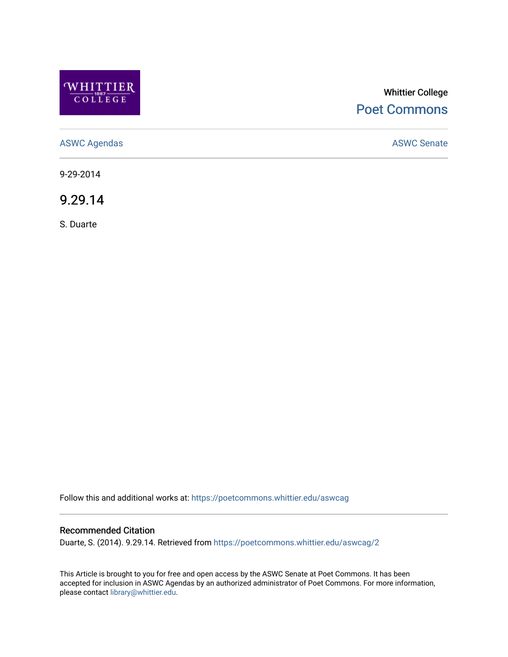

## Whittier College [Poet Commons](https://poetcommons.whittier.edu/)

[ASWC Agendas](https://poetcommons.whittier.edu/aswcag) **ASWC Senate** 

9-29-2014

9.29.14

S. Duarte

Follow this and additional works at: [https://poetcommons.whittier.edu/aswcag](https://poetcommons.whittier.edu/aswcag?utm_source=poetcommons.whittier.edu%2Faswcag%2F2&utm_medium=PDF&utm_campaign=PDFCoverPages) 

## Recommended Citation

Duarte, S. (2014). 9.29.14. Retrieved from [https://poetcommons.whittier.edu/aswcag/2](https://poetcommons.whittier.edu/aswcag/2?utm_source=poetcommons.whittier.edu%2Faswcag%2F2&utm_medium=PDF&utm_campaign=PDFCoverPages)

This Article is brought to you for free and open access by the ASWC Senate at Poet Commons. It has been accepted for inclusion in ASWC Agendas by an authorized administrator of Poet Commons. For more information, please contact [library@whittier.edu](mailto:library@whittier.edu).